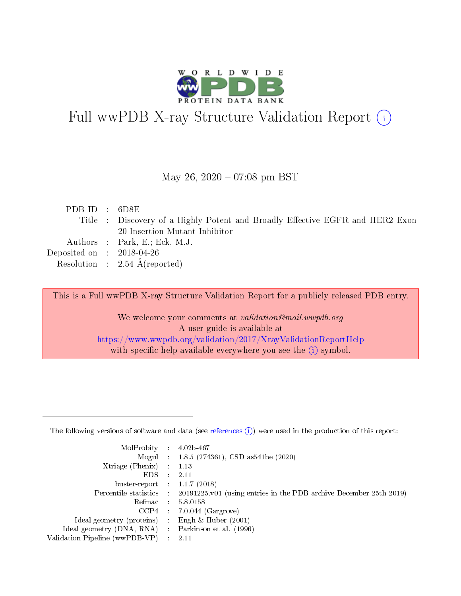

# Full wwPDB X-ray Structure Validation Report (i)

May 26,  $2020 - 07:08$  pm BST

| PDBID : 6D8E                                                                  |  |
|-------------------------------------------------------------------------------|--|
| Title : Discovery of a Highly Potent and Broadly Effective EGFR and HER2 Exon |  |
| 20 Insertion Mutant Inhibitor                                                 |  |
| Authors : Park, E.; Eck, M.J.                                                 |  |
| Deposited on $\therefore$ 2018-04-26                                          |  |
| Resolution : $2.54 \text{ Å}$ (reported)                                      |  |

This is a Full wwPDB X-ray Structure Validation Report for a publicly released PDB entry.

We welcome your comments at validation@mail.wwpdb.org A user guide is available at <https://www.wwpdb.org/validation/2017/XrayValidationReportHelp> with specific help available everywhere you see the  $(i)$  symbol.

The following versions of software and data (see [references](https://www.wwpdb.org/validation/2017/XrayValidationReportHelp#references)  $(1)$ ) were used in the production of this report:

| MolProbity                     | $\mathcal{L}_{\rm{max}}$ | $4.02b - 467$                                                                |
|--------------------------------|--------------------------|------------------------------------------------------------------------------|
|                                |                          | Mogul : $1.8.5$ (274361), CSD as 541be (2020)                                |
| $X$ triage (Phenix) :          |                          | 1.13                                                                         |
| EDS.                           |                          | 2.11                                                                         |
| buster-report : $1.1.7$ (2018) |                          |                                                                              |
| Percentile statistics :        |                          | $20191225 \text{ v}01$ (using entries in the PDB archive December 25th 2019) |
| Refmac                         |                          | 5.8.0158                                                                     |
| $CCP4$ :                       |                          | $7.0.044$ (Gargrove)                                                         |
| Ideal geometry (proteins) :    |                          | Engh $\&$ Huber (2001)                                                       |
| Ideal geometry (DNA, RNA) :    |                          | Parkinson et al. (1996)                                                      |
| Validation Pipeline (wwPDB-VP) | $\mathcal{L}$            | -2.11                                                                        |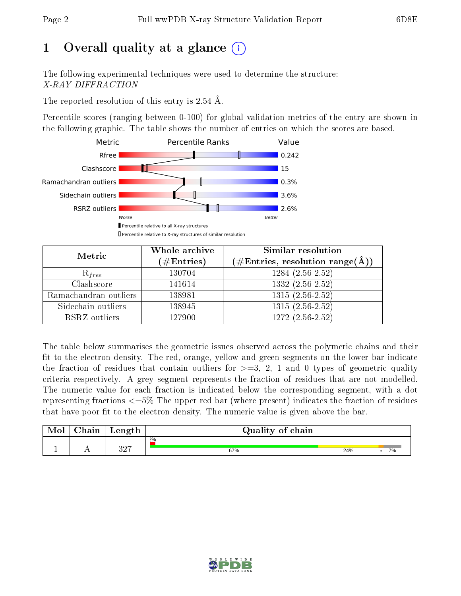# 1 [O](https://www.wwpdb.org/validation/2017/XrayValidationReportHelp#overall_quality)verall quality at a glance  $(i)$

The following experimental techniques were used to determine the structure: X-RAY DIFFRACTION

The reported resolution of this entry is 2.54 Å.

Percentile scores (ranging between 0-100) for global validation metrics of the entry are shown in the following graphic. The table shows the number of entries on which the scores are based.



| Metric                | Whole archive<br>$(\#\text{Entries})$ | Similar resolution<br>$(\#\text{Entries},\,\text{resolution}\,\,\text{range}(\textup{\AA}))$ |  |  |
|-----------------------|---------------------------------------|----------------------------------------------------------------------------------------------|--|--|
| $R_{free}$            | 130704                                | $1284(2.56-2.52)$                                                                            |  |  |
| Clashscore            | 141614                                | $1332(2.56-2.52)$                                                                            |  |  |
| Ramachandran outliers | 138981                                | $1315(2.56-2.52)$                                                                            |  |  |
| Sidechain outliers    | 138945                                | $1315(2.56-2.52)$                                                                            |  |  |
| RSRZ outliers         | 127900                                | $\overline{1272 (2.56-2.52)}$                                                                |  |  |

The table below summarises the geometric issues observed across the polymeric chains and their fit to the electron density. The red, orange, yellow and green segments on the lower bar indicate the fraction of residues that contain outliers for  $>=3, 2, 1$  and 0 types of geometric quality criteria respectively. A grey segment represents the fraction of residues that are not modelled. The numeric value for each fraction is indicated below the corresponding segment, with a dot representing fractions  $\epsilon=5\%$  The upper red bar (where present) indicates the fraction of residues that have poor fit to the electron density. The numeric value is given above the bar.

| Mol | $\cap$ hain | Length         | Quality of chain |     |    |  |  |  |
|-----|-------------|----------------|------------------|-----|----|--|--|--|
|     |             |                | $2\%$            |     |    |  |  |  |
|     |             | רי פ<br>، تے ت | 67%              | 24% | 7% |  |  |  |

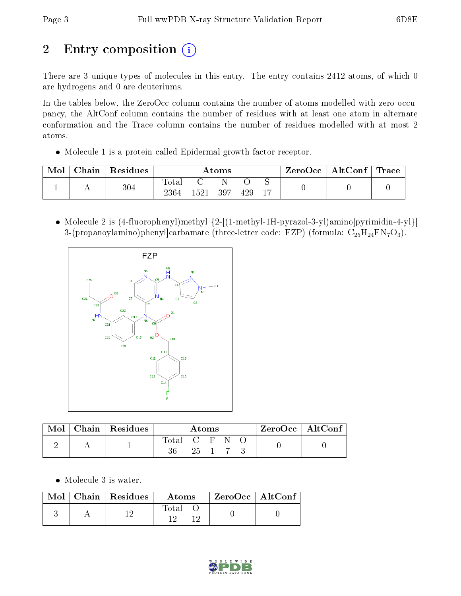# 2 Entry composition  $\left( \cdot \right)$

There are 3 unique types of molecules in this entry. The entry contains 2412 atoms, of which 0 are hydrogens and 0 are deuteriums.

In the tables below, the ZeroOcc column contains the number of atoms modelled with zero occupancy, the AltConf column contains the number of residues with at least one atom in alternate conformation and the Trace column contains the number of residues modelled with at most 2 atoms.

Molecule 1 is a protein called Epidermal growth factor receptor.

| Mol | Chain | Residues |                          | Atoms |     |     | $\rm{ZeroOcc} \mid \rm{AltConf} \mid \rm{Trace}$ |  |  |
|-----|-------|----------|--------------------------|-------|-----|-----|--------------------------------------------------|--|--|
|     |       | 304      | $\mathrm{Total}$<br>2364 | 1521  | 397 | 429 |                                                  |  |  |

 Molecule 2 is (4-fluorophenyl)methyl {2-[(1-methyl-1H-pyrazol-3-yl)amino]pyrimidin-4-yl}[ 3-(propanoylamino)phenyl]carbamate (three-letter code: FZP) (formula:  $C_{25}H_{24}FN_7O_3$ ).



| Mol | $\mid$ Chain $\mid$ Residues |               | Atoms |  |  | $ZeroOcc \mid AltConf \mid$ |
|-----|------------------------------|---------------|-------|--|--|-----------------------------|
|     |                              | Total C F N O | 25 1  |  |  |                             |

Molecule 3 is water.

|  | $\text{Mol}$   Chain   Residues | Atoms | ZeroOcc   AltConf |  |
|--|---------------------------------|-------|-------------------|--|
|  |                                 | Total |                   |  |

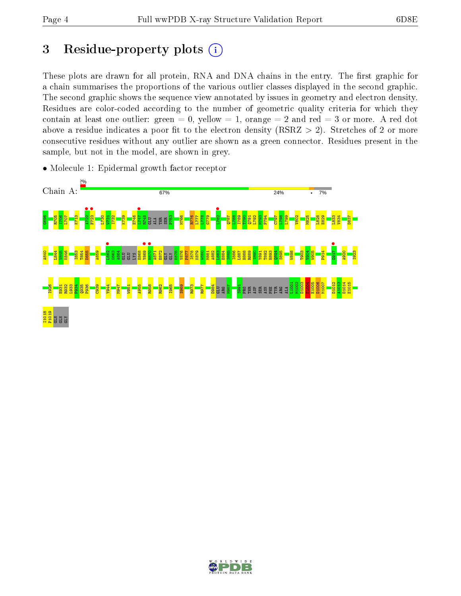# 3 Residue-property plots  $(i)$

These plots are drawn for all protein, RNA and DNA chains in the entry. The first graphic for a chain summarises the proportions of the various outlier classes displayed in the second graphic. The second graphic shows the sequence view annotated by issues in geometry and electron density. Residues are color-coded according to the number of geometric quality criteria for which they contain at least one outlier: green  $= 0$ , yellow  $= 1$ , orange  $= 2$  and red  $= 3$  or more. A red dot above a residue indicates a poor fit to the electron density (RSRZ  $> 2$ ). Stretches of 2 or more consecutive residues without any outlier are shown as a green connector. Residues present in the sample, but not in the model, are shown in grey.



• Molecule 1: Epidermal growth factor receptor

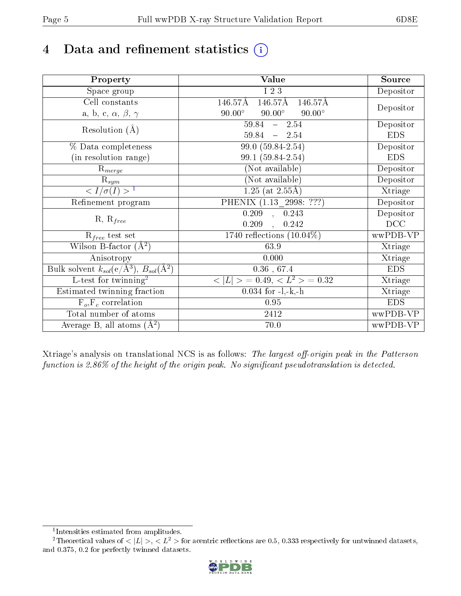# 4 Data and refinement statistics  $(i)$

| Property                                                             | Value                                           | Source     |
|----------------------------------------------------------------------|-------------------------------------------------|------------|
| Space group                                                          | I 2 3                                           | Depositor  |
| Cell constants                                                       | 146.57Å<br>146.57Å<br>146.57Å                   |            |
| a, b, c, $\alpha$ , $\beta$ , $\gamma$                               | $90.00^\circ$<br>$90.00^\circ$<br>$90.00^\circ$ | Depositor  |
| Resolution $(A)$                                                     | $59.84 - 2.54$                                  | Depositor  |
|                                                                      | $59.84 - 2.54$                                  | <b>EDS</b> |
| % Data completeness                                                  | 99.0 (59.84-2.54)                               | Depositor  |
| (in resolution range)                                                | 99.1 (59.84-2.54)                               | <b>EDS</b> |
| $R_{merge}$                                                          | (Not available)                                 | Depositor  |
| $\mathrm{R}_{sym}$                                                   | (Not available)                                 | Depositor  |
| $\langle I/\sigma(I) \rangle^{-1}$                                   | $1.25$ (at 2.55Å)                               | Xtriage    |
| Refinement program                                                   | PHENIX (1.13 _ 2998: ???)                       | Depositor  |
|                                                                      | $0.209$ , $0.243$                               | Depositor  |
| $R, R_{free}$                                                        | 0.209<br>0.242<br>$\mathcal{L}$                 | DCC        |
| $R_{free}$ test set                                                  | 1740 reflections $(10.04\%)$                    | wwPDB-VP   |
| Wilson B-factor $(A^2)$                                              | 63.9                                            | Xtriage    |
| Anisotropy                                                           | 0.000                                           | Xtriage    |
| Bulk solvent $k_{sol}(e/\mathring{A}^3)$ , $B_{sol}(\mathring{A}^2)$ | $0.36\,$ , $67.4\,$                             | <b>EDS</b> |
| L-test for twinning <sup>2</sup>                                     | $>$ = 0.49, < $L^2$ > = 0.32<br>< L             | Xtriage    |
| Estimated twinning fraction                                          | $0.034$ for $-l,-k,-h$                          | Xtriage    |
| $F_o, F_c$ correlation                                               | 0.95                                            | <b>EDS</b> |
| Total number of atoms                                                | 2412                                            | wwPDB-VP   |
| Average B, all atoms $(A^2)$                                         | 70.0                                            | wwPDB-VP   |

Xtriage's analysis on translational NCS is as follows: The largest off-origin peak in the Patterson function is  $2.86\%$  of the height of the origin peak. No significant pseudotranslation is detected.

<sup>&</sup>lt;sup>2</sup>Theoretical values of  $\langle |L| \rangle$ ,  $\langle L^2 \rangle$  for acentric reflections are 0.5, 0.333 respectively for untwinned datasets, and 0.375, 0.2 for perfectly twinned datasets.



<span id="page-4-1"></span><span id="page-4-0"></span><sup>1</sup> Intensities estimated from amplitudes.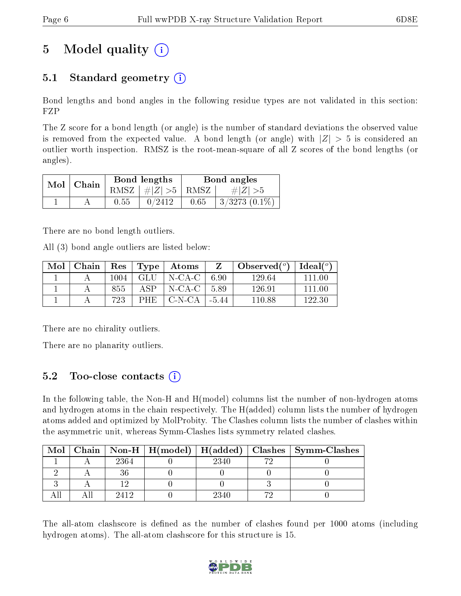# 5 Model quality  $(i)$

### 5.1 Standard geometry  $(i)$

Bond lengths and bond angles in the following residue types are not validated in this section: FZP

The Z score for a bond length (or angle) is the number of standard deviations the observed value is removed from the expected value. A bond length (or angle) with  $|Z| > 5$  is considered an outlier worth inspection. RMSZ is the root-mean-square of all Z scores of the bond lengths (or angles).

| Mol | Chain |      | Bond lengths                            |      | Bond angles            |
|-----|-------|------|-----------------------------------------|------|------------------------|
|     |       |      | RMSZ $\mid \#  Z  > 5 \mid$ RMSZ $\mid$ |      | $\# Z  > 5$            |
|     |       | 0.55 | 0/2412                                  | 0.65 | $\pm 3/3273$ $(0.1\%)$ |

There are no bond length outliers.

All (3) bond angle outliers are listed below:

| Mol | Chain | Res  | $\vert$ Type $\vert$ | $\boldsymbol{\mathrm{Atoms}}$                            |         | Observed $(^\circ)$ | Ideal (°) |
|-----|-------|------|----------------------|----------------------------------------------------------|---------|---------------------|-----------|
|     |       | 1004 | GLU                  | $\overline{\phantom{a}}$ N-CA-C $\overline{\phantom{a}}$ | 6.90    | 129.64              | -111-00   |
|     |       | 855  | ΔSΡ                  | N-CA-C                                                   | 5.89    | 126.91              | -111 00   |
|     |       | 723  | PHE.                 | - C-N-CA -                                               | $-5.44$ | 110.88              | 122.30    |

There are no chirality outliers.

There are no planarity outliers.

### 5.2 Too-close contacts  $(i)$

In the following table, the Non-H and H(model) columns list the number of non-hydrogen atoms and hydrogen atoms in the chain respectively. The H(added) column lists the number of hydrogen atoms added and optimized by MolProbity. The Clashes column lists the number of clashes within the asymmetric unit, whereas Symm-Clashes lists symmetry related clashes.

| Mol |      |      |    | Chain   Non-H   H(model)   H(added)   Clashes   Symm-Clashes |
|-----|------|------|----|--------------------------------------------------------------|
|     | 2364 | 2340 |    |                                                              |
|     |      |      |    |                                                              |
|     |      |      |    |                                                              |
|     | 9419 | 2340 | ٣ć |                                                              |

The all-atom clashscore is defined as the number of clashes found per 1000 atoms (including hydrogen atoms). The all-atom clashscore for this structure is 15.

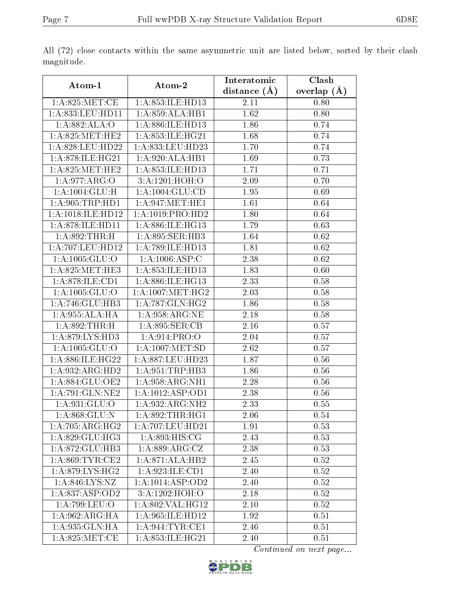|--|

|                                                         |                      | Interatomic    | Clash         |
|---------------------------------------------------------|----------------------|----------------|---------------|
| $\rm{Atom\text{-}1}$                                    | Atom-2               | distance $(A)$ | overlap $(A)$ |
| 1: A:825: MET:CE                                        | 1:A:853:ILE:HD13     | 2.11           | 0.80          |
| $1: A:833:$ LEU:HD11                                    | 1:A:859:ALA:HB1      | 1.62           | 0.80          |
| 1:A:882:ALA:O                                           | 1:A:886:ILE:HD13     | 1.86           | 0.74          |
| 1: A:825:MET:HE2                                        | 1: A:853: ILE: HG21  | 1.68           | 0.74          |
| 1:A:828:LEU:HD22                                        | 1:A:833:LEU:HD23     | 1.70           | 0.74          |
| 1: A:878: ILE: HG21                                     | 1:A:920:ALA:HB1      | 1.69           | 0.73          |
| 1: A:825:MET:HE2                                        | 1:A:853:ILE:HD13     | 1.71           | 0.71          |
| 1: A:977: ARG:O                                         | 3:A:1201:HOH:O       | 2.09           | 0.70          |
| 1:A:1004:GLU:H                                          | 1: A: 1004: GLU: CD  | 1.95           | 0.69          |
| 1: A:905:TRP:HD1                                        | 1: A:947: MET:HE1    | 1.61           | 0.64          |
| $1:\overline{A}:1018:\overline{\text{ILE}:H\text{D}12}$ | 1:A:1019:PRO:HD2     | 1.80           | 0.64          |
| 1: A:878: ILE: HD11                                     | 1: A:886: ILE: HG13  | 1.79           | 0.63          |
| 1:A:892:THR:H                                           | 1:A:895:SER:HB3      | 1.64           | 0.62          |
| 1:A:707:LEU:HD12                                        | 1:A:789:ILE:HD13     |                | 0.62          |
|                                                         |                      | 1.81           |               |
| 1:A:1005:GLU:O                                          | 1:A:1006:ASP:C       | 2.38           | 0.62          |
| 1: A:825: MET:HE3                                       | 1:A:853:ILE:HD13     | 1.83           | 0.60          |
| 1:A:878:ILE:CD1                                         | 1:A:886:ILE:HG13     | 2.33           | 0.58          |
| 1: A: 1005: GLU:O                                       | 1: A:1007: MET:HG2   | 2.03           | 0.58          |
| 1:A:746:GLU:HB3                                         | 1: A:787: GLN: HG2   | 1.86           | 0.58          |
| 1:A:955:ALA:HA                                          | 1: A:958: ARG:NE     | 2.18           | 0.58          |
| 1: A:892:THR:H                                          | 1: A:895: SER:CB     | 2.16           | 0.57          |
| 1:A:879:LYS:HD3                                         | 1: A:914: PRO:O      | 2.04           | 0.57          |
| 1: A: 1005: GLU:O                                       | 1: A: 1007: MET: SD  | 2.62           | 0.57          |
| 1:A:886:ILE:HG22                                        | 1:A:887:LEU:HD23     | 1.87           | 0.56          |
| 1:A:932:ARG:HD2                                         | 1:A:951:TRP:HB3      | 1.86           | 0.56          |
| 1:A:884:GLU:OE2                                         | 1: A:958: ARG: NH1   | 2.28           | 0.56          |
| 1:A:791:GLN:NE2                                         | 1:A:1012:ASP:OD1     | 2.38           | 0.56          |
| 1: A:931: GLU:O                                         | 1:A:932:ARG:NH2      | 2.33           | $0.55\,$      |
| 1: A:868: GLU:N                                         | 1: A:892:THR:HGI     | 2.06           | 0.54          |
| 1: A:705: ARG: HG2                                      | 1:A:707:LEU:HD21     | 1.91           | 0.53          |
| 1:A:829:GLU:HG3                                         | 1: A:893:HIS:CG      | 2.43           | 0.53          |
| 1:A:872:GLU:HB3                                         | 1: A:889:ARG:CZ      | 2.38           | 0.53          |
| 1:A:869:TYR:CE2                                         | 1:A:871:ALA:HB2      | 2.45           | 0.52          |
| 1: A:879: LYS: HG2                                      | 1: A:923: ILE: CD1   | 2.40           | 0.52          |
| 1:A:846:LYS:NZ                                          | 1:A:1014:ASP:OD2     | 2.40           | 0.52          |
| $1:A:837: \overline{\text{ASP:OD2}}$                    | 3:A:1202:HOH:O       | 2.18           | 0.52          |
| 1: A:799: LEU:O                                         | 1: A:802:VAL:HG12    | 2.10           | 0.52          |
| 1: A:962: ARG: HA                                       | 1:A:965:ILE:HD12     | 1.92           | 0.51          |
| 1:A:935:GLN:HA                                          | 1:A:944:TYR:CE1      | 2.46           | 0.51          |
| 1: A:825: MET:CE                                        | 1: A: 853: ILE: HG21 | 2.40           | 0.51          |

All (72) close contacts within the same asymmetric unit are listed below, sorted by their clash magnitude.

Continued on next page...

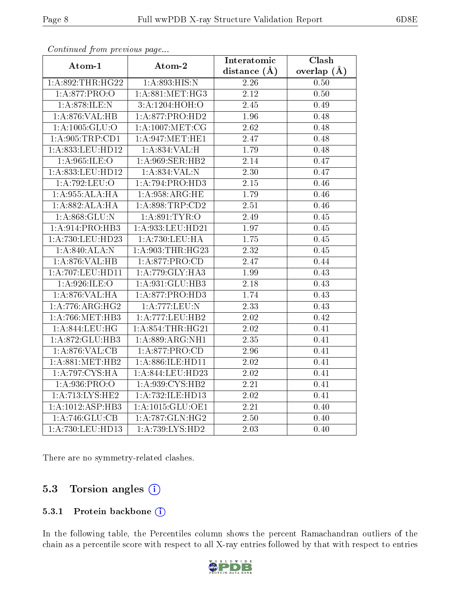| Atom-1                      | Atom-2              | Interatomic       | Clash             |
|-----------------------------|---------------------|-------------------|-------------------|
|                             |                     | distance $(A)$    | overlap $(\AA)$   |
| 1: A:892:THR:HG22           | 1: A:893:HIS:N      | 2.26              | 0.50              |
| 1: A:877: PRO:O             | 1: A:881:MET:HG3    | 2.12              | 0.50              |
| 1:A:878:ILE:N               | 3:A:1204:HOH:O      | 2.45              | 0.49              |
| 1:A:876:VAL:HB              | 1:A:877:PRO:HD2     | 1.96              | 0.48              |
| 1: A: 1005: GLU:O           | $1: A:1007$ :MET:CG | 2.62              | 0.48              |
| 1: A:905:TRP:CD1            | 1:A:947:MET:HE1     | 2.47              | 0.48              |
| 1:A:833:LEU:HD12            | 1:A:834:VAL:H       | 1.79              | 0.48              |
| 1:A:965:ILE:O               | 1:A:969:SER:HB2     | 2.14              | 0.47              |
| 1:A:833:LEU:HD12            | 1:A:834:VAL:N       | $\overline{2.30}$ | 0.47              |
| 1:A:792:LEU:O               | 1:A:794:PRO:HD3     | 2.15              | 0.46              |
| 1: A:955: ALA:HA            | 1: A:958:ARG:HE     | 1.79              | 0.46              |
| 1:A:882:ALA:HA              | 1:A:898:TRP:CD2     | 2.51              | 0.46              |
| 1: A:868: GLU:N             | 1: A:891: TYR:O     | 2.49              | 0.45              |
| 1: A:914: PRO:HB3           | 1:A:933:LEU:HD21    | 1.97              | 0.45              |
| 1:A:730:LEU:HD23            | 1:A:730:LEU:HA      | 1.75              | 0.45              |
| 1:A:840:ALA:N               | 1: A:903:THR:HG23   | 2.32              | 0.45              |
| 1:A:876:VAL:HB              | 1:A:877:PRO:CD      | 2.47              | 0.44              |
| 1:A:707:LEU:HD11            | 1:A:779:GLY:HA3     | 1.99              | 0.43              |
| 1: A:926: ILE: O            | 1:A:931:GLU:HB3     | 2.18              | 0.43              |
| 1:A:876:VAL:HA              | 1:A:877:PRO:HD3     | 1.74              | 0.43              |
| 1: A:776:ARG:HG2            | 1:A:777:LEU:N       | $\overline{2.33}$ | 0.43              |
| 1: A:766:MET:HB3            | 1:A:777:LEU:HB2     | 2.02              | 0.42              |
| 1:A:844:LEU:HG              | 1: A:854:THR:HG21   | 2.02              | 0.41              |
| 1:A:872:GLU:HB3             | 1:A:889:ARG:NH1     | $\overline{2.35}$ | $\overline{0.41}$ |
| 1: A:876: VAL:CB            | 1:A:877:PRO:CD      | 2.96              | 0.41              |
| 1: A:881: MET:HB2           | 1:A:886:ILE:HD11    | 2.02              | 0.41              |
| 1:A:797:CYS:HA              | 1:A:844:LEU:HD23    | $\overline{2.02}$ | 0.41              |
| 1: A:936: PRO:O             | 1:A:939:CYS:HB2     | 2.21              | 0.41              |
| 1: A:713: LYS: HE2          | 1:A:732:ILE:HD13    | 2.02              | 0.41              |
| 1:A:1012:ASP:HB3            | 1:A:1015:GLU:OE1    | 2.21              | 0.40              |
| $1:\overline{A:746:GLU:CB}$ | 1:A:787:GLN:HG2     | 2.50              | 0.40              |
| 1:A:730:LEU:HD13            | 1:A:739:LYS:HD2     | 2.03              | 0.40              |

Continued from previous page...

There are no symmetry-related clashes.

#### 5.3 Torsion angles (i)

#### 5.3.1 Protein backbone (i)

In the following table, the Percentiles column shows the percent Ramachandran outliers of the chain as a percentile score with respect to all X-ray entries followed by that with respect to entries

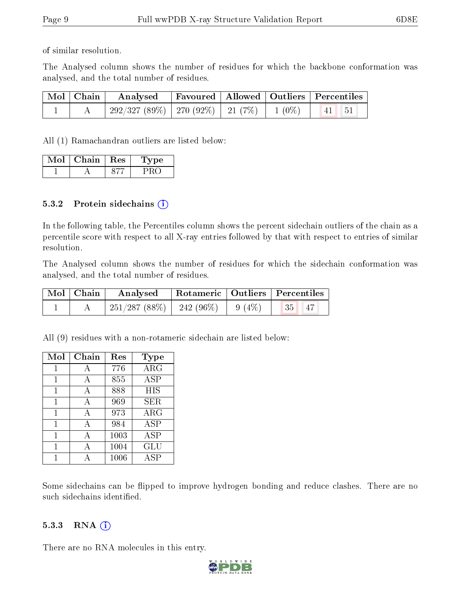of similar resolution.

The Analysed column shows the number of residues for which the backbone conformation was analysed, and the total number of residues.

| $\mid$ Mol $\mid$ Chain $\mid$ | $\boldsymbol{\mathrm{Analysed}}$                  |  | Favoured   Allowed   Outliers   Percentiles |
|--------------------------------|---------------------------------------------------|--|---------------------------------------------|
|                                | $292/327(89\%)$   270 (92\%)   21 (7\%)   1 (0\%) |  | $\frac{1}{41}$ 51                           |

All (1) Ramachandran outliers are listed below:

| Mol | Chain | $+$ Res $+$ | vpe |
|-----|-------|-------------|-----|
|     |       |             |     |

#### 5.3.2 Protein sidechains  $(i)$

In the following table, the Percentiles column shows the percent sidechain outliers of the chain as a percentile score with respect to all X-ray entries followed by that with respect to entries of similar resolution.

The Analysed column shows the number of residues for which the sidechain conformation was analysed, and the total number of residues.

| Mol   Chain | Analysed                               |  | Rotameric   Outliers   Percentiles |
|-------------|----------------------------------------|--|------------------------------------|
|             | $251/287(88\%)$   242 (96\%)   9 (4\%) |  | 35 47                              |

All (9) residues with a non-rotameric sidechain are listed below:

| Mol | Chain | Res  | Type       |
|-----|-------|------|------------|
| 1   | A     | 776  | $\rm{ARG}$ |
| 1   | А     | 855  | <b>ASP</b> |
| 1   | А     | 888  | HIS        |
| 1   | А     | 969  | <b>SER</b> |
| 1   | A     | 973  | $\rm{ARG}$ |
| 1   | А     | 984  | ĀSP        |
| 1   | А     | 1003 | <b>ASP</b> |
| 1   | А     | 1004 | GLU        |
|     |       | 1006 | ASP        |

Some sidechains can be flipped to improve hydrogen bonding and reduce clashes. There are no such sidechains identified.

#### 5.3.3 RNA (i)

There are no RNA molecules in this entry.

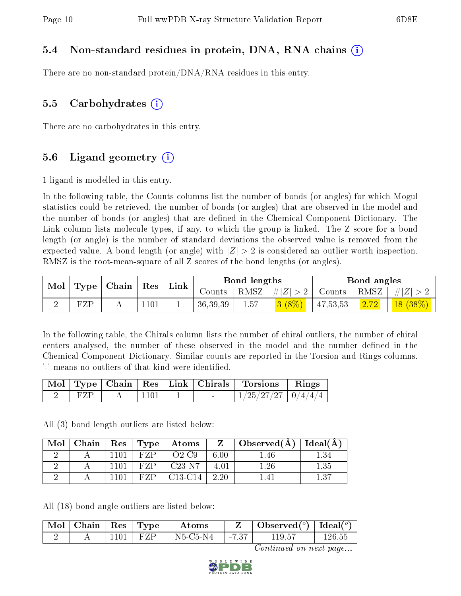#### 5.4 Non-standard residues in protein, DNA, RNA chains (i)

There are no non-standard protein/DNA/RNA residues in this entry.

#### 5.5 Carbohydrates  $(i)$

There are no carbohydrates in this entry.

#### 5.6 Ligand geometry  $(i)$

1 ligand is modelled in this entry.

In the following table, the Counts columns list the number of bonds (or angles) for which Mogul statistics could be retrieved, the number of bonds (or angles) that are observed in the model and the number of bonds (or angles) that are dened in the Chemical Component Dictionary. The Link column lists molecule types, if any, to which the group is linked. The Z score for a bond length (or angle) is the number of standard deviations the observed value is removed from the expected value. A bond length (or angle) with  $|Z| > 2$  is considered an outlier worth inspection. RMSZ is the root-mean-square of all Z scores of the bond lengths (or angles).

| Mol | <b>Type</b> | Chain | Res           | Link |            | Bond lengths |          |          | Bond angles |            |
|-----|-------------|-------|---------------|------|------------|--------------|----------|----------|-------------|------------|
|     |             |       |               |      | Counts     | RMSZ         | $\# Z $  | Counts   | RMSZ        | $\# Z $    |
|     | FZP         |       | $\lfloor 101$ |      | 36, 39, 39 | 1.57         | $3(8\%)$ | 47,53,53 | 2.72        | $18(38\%)$ |

In the following table, the Chirals column lists the number of chiral outliers, the number of chiral centers analysed, the number of these observed in the model and the number defined in the Chemical Component Dictionary. Similar counts are reported in the Torsion and Rings columns. '-' means no outliers of that kind were identified.

|     |       |  | $\vert$ Mol $\vert$ Type $\vert$ Chain $\vert$ Res $\vert$ Link $\vert$ Chirals $\vert$ Torsions $\vert$ Rings |  |
|-----|-------|--|----------------------------------------------------------------------------------------------------------------|--|
| FZP | -1101 |  | $1/25/27/27$   $0/4/4/4$                                                                                       |  |

All (3) bond length outliers are listed below:

| Mol | Chain |     | $Res \mid Type$ | $\boldsymbol{\mathrm{Atoms}}$    | Z       | $\Delta$ Observed $(A)$ | Ideal(A) |
|-----|-------|-----|-----------------|----------------------------------|---------|-------------------------|----------|
|     |       |     |                 | $O2$ -C9                         | 6.00    | $1.46\,$                | - 34     |
|     |       | 101 | F7P             | $C23-N7$                         | $-4.01$ | $1.26\,$                | 1.35     |
|     |       |     | FZP.            | C <sub>13</sub> -C <sub>14</sub> | 2.20    |                         | 1.37     |

All (18) bond angle outliers are listed below:

| $\lceil \text{Mol} \rceil$ | Chain | ' Res | 'Type | Atoms          |        | Observed $(^\circ)$ | Ideal $\binom{o}{c}$ |
|----------------------------|-------|-------|-------|----------------|--------|---------------------|----------------------|
|                            |       | 101   | -FAND | $N5$ -C5- $N4$ | $-7.3$ | 119.57              | 126.55               |

Continued on next page...

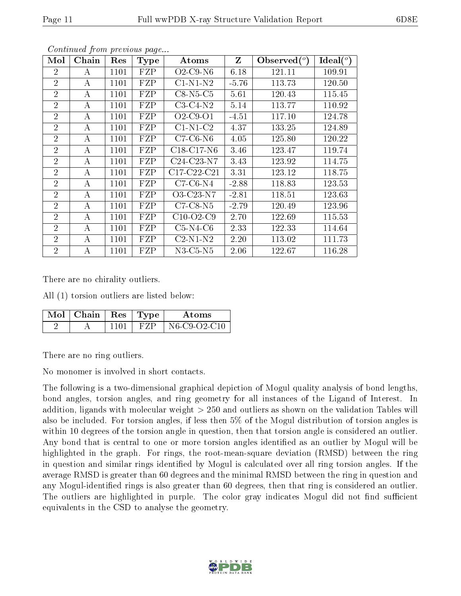| Mol            | Chain    | Res  | Type | Atoms          | $Z_{\rm}$ | $\mathbf{Observed}(^o)$ | Ideal $(^\circ)$ |
|----------------|----------|------|------|----------------|-----------|-------------------------|------------------|
| $\overline{2}$ | A        | 1101 | FZP  | $O2$ -C9-N6    | 6.18      | 121.11                  | 109.91           |
| $\overline{2}$ | A        | 1101 | FZP  | $C1-N1-N2$     | $-5.76$   | 113.73                  | 120.50           |
| $\overline{2}$ | A        | 1101 | FZP  | $C8-N5-C5$     | 5.61      | 120.43                  | 115.45           |
| $\overline{2}$ | A        | 1101 | FZP  | $C3-C4-N2$     | 5.14      | 113.77                  | 110.92           |
| $\overline{2}$ | A        | 1101 | FZP  | $O2$ -C9-O1    | $-4.51$   | 117.10                  | 124.78           |
| $\overline{2}$ | A        | 1101 | FZP  | $C1-N1-C2$     | 4.37      | 133.25                  | 124.89           |
| $\overline{2}$ | A        | 1101 | FZP  | $C7-C6-N6$     | 4.05      | 125.80                  | 120.22           |
| $\overline{2}$ | A        | 1101 | FZP  | $C18-C17-N6$   | 3.46      | 123.47                  | 119.74           |
| $\overline{2}$ | A        | 1101 | FZP  | $C24-C23-N7$   | 3.43      | 123.92                  | 114.75           |
| $\overline{2}$ | A        | 1101 | FZP  | $C17-C22-C21$  | 3.31      | 123.12                  | 118.75           |
| $\overline{2}$ | A        | 1101 | FZP  | $C7-C6-N4$     | $-2.88$   | 118.83                  | 123.53           |
| $\overline{2}$ | A        | 1101 | FZP  | O3-C23-N7      | $-2.81$   | 118.51                  | 123.63           |
| $\overline{2}$ | A        | 1101 | FZP  | $C7-C8-N5$     | $-2.79$   | 120.49                  | 123.96           |
| $\overline{2}$ | A        | 1101 | FZP  | $C10-O2-C9$    | 2.70      | 122.69                  | 115.53           |
| $\overline{2}$ | A        | 1101 | FZP  | $C5-N4-C6$     | 2.33      | 122.33                  | 114.64           |
| $\overline{2}$ | A        | 1101 | FZP  | $C2-N1-N2$     | 2.20      | 113.02                  | 111.73           |
| $\overline{2}$ | $\bf{A}$ | 1101 | FZP  | $N3$ -C5- $N5$ | 2.06      | 122.67                  | 116.28           |

Continued from previous page...

There are no chirality outliers.

All (1) torsion outliers are listed below:

| $\sqrt{M}$ ol   Chain   Res   Type ' |      | Atoms        |
|--------------------------------------|------|--------------|
|                                      | F'ZF | N6-C9-O2-C10 |

There are no ring outliers.

No monomer is involved in short contacts.

The following is a two-dimensional graphical depiction of Mogul quality analysis of bond lengths, bond angles, torsion angles, and ring geometry for all instances of the Ligand of Interest. In addition, ligands with molecular weight > 250 and outliers as shown on the validation Tables will also be included. For torsion angles, if less then 5% of the Mogul distribution of torsion angles is within 10 degrees of the torsion angle in question, then that torsion angle is considered an outlier. Any bond that is central to one or more torsion angles identified as an outlier by Mogul will be highlighted in the graph. For rings, the root-mean-square deviation (RMSD) between the ring in question and similar rings identified by Mogul is calculated over all ring torsion angles. If the average RMSD is greater than 60 degrees and the minimal RMSD between the ring in question and any Mogul-identified rings is also greater than 60 degrees, then that ring is considered an outlier. The outliers are highlighted in purple. The color gray indicates Mogul did not find sufficient equivalents in the CSD to analyse the geometry.

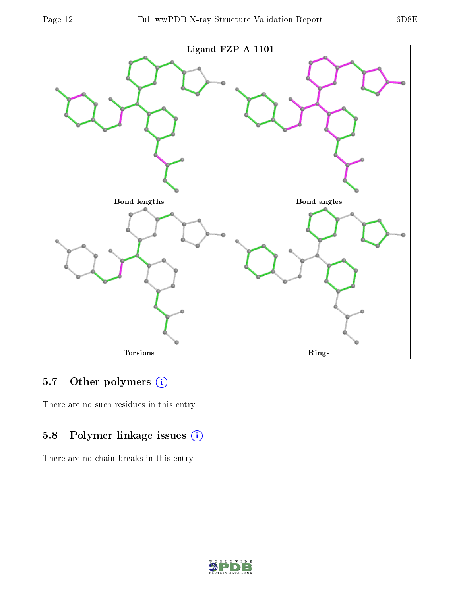

### 5.7 [O](https://www.wwpdb.org/validation/2017/XrayValidationReportHelp#nonstandard_residues_and_ligands)ther polymers (i)

There are no such residues in this entry.

### 5.8 Polymer linkage issues (i)

There are no chain breaks in this entry.

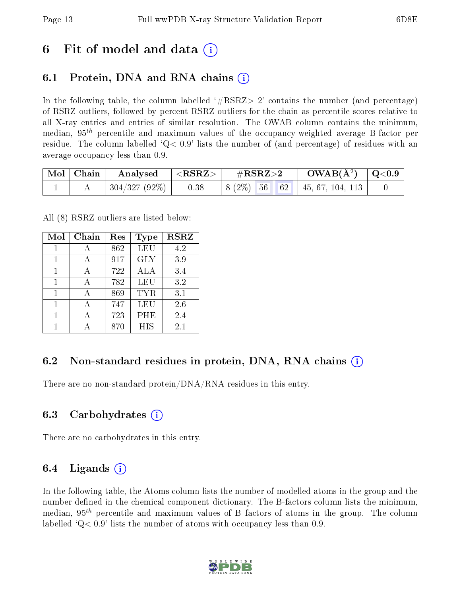### 6 Fit of model and data  $\left( \cdot \right)$

### 6.1 Protein, DNA and RNA chains (i)

In the following table, the column labelled  $#RSRZ>2'$  contains the number (and percentage) of RSRZ outliers, followed by percent RSRZ outliers for the chain as percentile scores relative to all X-ray entries and entries of similar resolution. The OWAB column contains the minimum, median,  $95<sup>th</sup>$  percentile and maximum values of the occupancy-weighted average B-factor per residue. The column labelled  $Q < 0.9$  lists the number of (and percentage) of residues with an average occupancy less than 0.9.

| $\mid$ Mol $\mid$ Chain $\mid$ | Analysed $ \langle \text{RSRZ}\rangle $ | $\rm \#RSRZ{>}2$                                           | $\rm{OWAB}(\AA^2)$ $\vert$ Q<0.9 $\vert$ |  |
|--------------------------------|-----------------------------------------|------------------------------------------------------------|------------------------------------------|--|
|                                | $ 304/327(92\%) $ 0.38                  | $\vert 8 \vert (2\%)$ 56 62 $\vert 45, 67, 104, 113 \vert$ |                                          |  |

All (8) RSRZ outliers are listed below:

| Mol | Chain | $\operatorname{Res}% \left( \mathcal{N}\right) \equiv\operatorname{Res}(\mathcal{N}_{0},\mathcal{N}_{0})$ | Type       | <b>RSRZ</b> |
|-----|-------|-----------------------------------------------------------------------------------------------------------|------------|-------------|
| 1   | А     | 862                                                                                                       | <b>LEU</b> | 4.2         |
|     |       | 917                                                                                                       | <b>GLY</b> | 3.9         |
|     |       | 722                                                                                                       | ALA        | 3.4         |
| 1   |       | 782                                                                                                       | LEU        | 3.2         |
| 1   |       | 869                                                                                                       | TYR.       | 3.1         |
|     |       | 747                                                                                                       | LEU        | 2.6         |
|     |       | 723                                                                                                       | PHE        | 2.4         |
|     |       | 870                                                                                                       | <b>HIS</b> | 2.1         |

#### 6.2 Non-standard residues in protein, DNA, RNA chains  $(i)$

There are no non-standard protein/DNA/RNA residues in this entry.

#### 6.3 Carbohydrates (i)

There are no carbohydrates in this entry.

#### 6.4 Ligands  $(i)$

In the following table, the Atoms column lists the number of modelled atoms in the group and the number defined in the chemical component dictionary. The B-factors column lists the minimum, median,  $95<sup>th</sup>$  percentile and maximum values of B factors of atoms in the group. The column labelled  $Q< 0.9$ ' lists the number of atoms with occupancy less than 0.9.